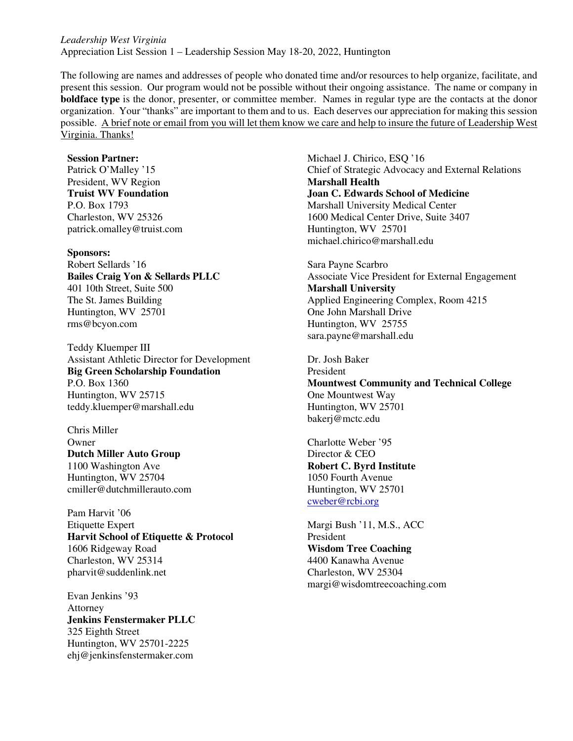*Leadership West Virginia*  Appreciation List Session 1 – Leadership Session May 18-20, 2022, Huntington

The following are names and addresses of people who donated time and/or resources to help organize, facilitate, and present this session. Our program would not be possible without their ongoing assistance. The name or company in **boldface type** is the donor, presenter, or committee member. Names in regular type are the contacts at the donor organization. Your "thanks" are important to them and to us. Each deserves our appreciation for making this session possible. A brief note or email from you will let them know we care and help to insure the future of Leadership West Virginia. Thanks!

#### **Session Partner:**

Patrick O'Malley '15 President, WV Region **Truist WV Foundation**  P.O. Box 1793 Charleston, WV 25326 patrick.omalley@truist.com

#### **Sponsors:**

Robert Sellards '16 **Bailes Craig Yon & Sellards PLLC**  401 10th Street, Suite 500 The St. James Building Huntington, WV 25701 rms@bcyon.com

Teddy Kluemper III Assistant Athletic Director for Development **Big Green Scholarship Foundation**  P.O. Box 1360 Huntington, WV 25715 teddy.kluemper@marshall.edu

Chris Miller **Owner Dutch Miller Auto Group**  1100 Washington Ave Huntington, WV 25704 cmiller@dutchmillerauto.com

Pam Harvit '06 Etiquette Expert **Harvit School of Etiquette & Protocol**  1606 Ridgeway Road Charleston, WV 25314 pharvit@suddenlink.net

Evan Jenkins '93 Attorney **Jenkins Fenstermaker PLLC**  325 Eighth Street Huntington, WV 25701-2225 ehj@jenkinsfenstermaker.com Michael J. Chirico, ESQ '16 Chief of Strategic Advocacy and External Relations **Marshall Health Joan C. Edwards School of Medicine**  Marshall University Medical Center 1600 Medical Center Drive, Suite 3407 Huntington, WV 25701 michael.chirico@marshall.edu

Sara Payne Scarbro Associate Vice President for External Engagement **Marshall University**  Applied Engineering Complex, Room 4215 One John Marshall Drive Huntington, WV 25755 sara.payne@marshall.edu

Dr. Josh Baker President **Mountwest Community and Technical College**  One Mountwest Way Huntington, WV 25701 bakerj@mctc.edu

Charlotte Weber '95 Director & CEO **Robert C. Byrd Institute**  1050 Fourth Avenue Huntington, WV 25701 cweber@rcbi.org

Margi Bush '11, M.S., ACC President **Wisdom Tree Coaching** 4400 Kanawha Avenue Charleston, WV 25304 margi@wisdomtreecoaching.com